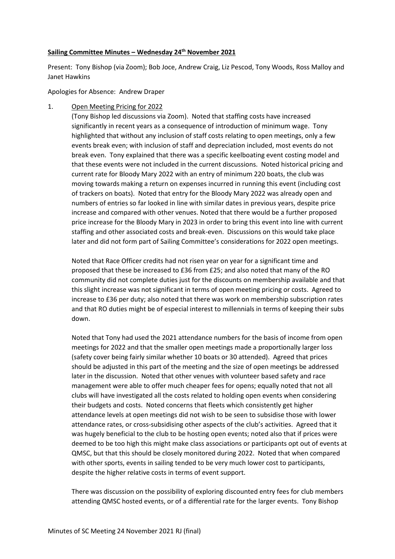#### **Sailing Committee Minutes – Wednesday 24th November 2021**

Present: Tony Bishop (via Zoom); Bob Joce, Andrew Craig, Liz Pescod, Tony Woods, Ross Malloy and Janet Hawkins

Apologies for Absence: Andrew Draper

1. Open Meeting Pricing for 2022

(Tony Bishop led discussions via Zoom). Noted that staffing costs have increased significantly in recent years as a consequence of introduction of minimum wage. Tony highlighted that without any inclusion of staff costs relating to open meetings, only a few events break even; with inclusion of staff and depreciation included, most events do not break even. Tony explained that there was a specific keelboating event costing model and that these events were not included in the current discussions. Noted historical pricing and current rate for Bloody Mary 2022 with an entry of minimum 220 boats, the club was moving towards making a return on expenses incurred in running this event (including cost of trackers on boats). Noted that entry for the Bloody Mary 2022 was already open and numbers of entries so far looked in line with similar dates in previous years, despite price increase and compared with other venues. Noted that there would be a further proposed price increase for the Bloody Mary in 2023 in order to bring this event into line with current staffing and other associated costs and break-even. Discussions on this would take place later and did not form part of Sailing Committee's considerations for 2022 open meetings.

Noted that Race Officer credits had not risen year on year for a significant time and proposed that these be increased to £36 from £25; and also noted that many of the RO community did not complete duties just for the discounts on membership available and that this slight increase was not significant in terms of open meeting pricing or costs. Agreed to increase to £36 per duty; also noted that there was work on membership subscription rates and that RO duties might be of especial interest to millennials in terms of keeping their subs down.

Noted that Tony had used the 2021 attendance numbers for the basis of income from open meetings for 2022 and that the smaller open meetings made a proportionally larger loss (safety cover being fairly similar whether 10 boats or 30 attended). Agreed that prices should be adjusted in this part of the meeting and the size of open meetings be addressed later in the discussion. Noted that other venues with volunteer based safety and race management were able to offer much cheaper fees for opens; equally noted that not all clubs will have investigated all the costs related to holding open events when considering their budgets and costs. Noted concerns that fleets which consistently get higher attendance levels at open meetings did not wish to be seen to subsidise those with lower attendance rates, or cross-subsidising other aspects of the club's activities. Agreed that it was hugely beneficial to the club to be hosting open events; noted also that if prices were deemed to be too high this might make class associations or participants opt out of events at QMSC, but that this should be closely monitored during 2022. Noted that when compared with other sports, events in sailing tended to be very much lower cost to participants, despite the higher relative costs in terms of event support.

There was discussion on the possibility of exploring discounted entry fees for club members attending QMSC hosted events, or of a differential rate for the larger events. Tony Bishop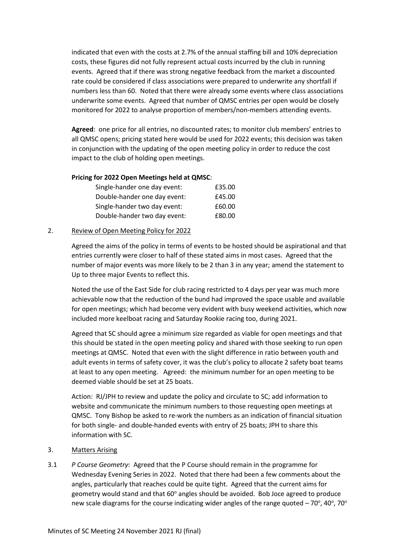indicated that even with the costs at 2.7% of the annual staffing bill and 10% depreciation costs, these figures did not fully represent actual costs incurred by the club in running events. Agreed that if there was strong negative feedback from the market a discounted rate could be considered if class associations were prepared to underwrite any shortfall if numbers less than 60. Noted that there were already some events where class associations underwrite some events. Agreed that number of QMSC entries per open would be closely monitored for 2022 to analyse proportion of members/non-members attending events.

**Agreed**: one price for all entries, no discounted rates; to monitor club members' entries to all QMSC opens; pricing stated here would be used for 2022 events; this decision was taken in conjunction with the updating of the open meeting policy in order to reduce the cost impact to the club of holding open meetings.

### **Pricing for 2022 Open Meetings held at QMSC**:

| Single-hander one day event: | £35.00 |
|------------------------------|--------|
| Double-hander one day event: | £45.00 |
| Single-hander two day event: | £60.00 |
| Double-hander two day event: | £80.00 |

## 2. Review of Open Meeting Policy for 2022

Agreed the aims of the policy in terms of events to be hosted should be aspirational and that entries currently were closer to half of these stated aims in most cases. Agreed that the number of major events was more likely to be 2 than 3 in any year; amend the statement to Up to three major Events to reflect this.

Noted the use of the East Side for club racing restricted to 4 days per year was much more achievable now that the reduction of the bund had improved the space usable and available for open meetings; which had become very evident with busy weekend activities, which now included more keelboat racing and Saturday Rookie racing too, during 2021.

Agreed that SC should agree a minimum size regarded as viable for open meetings and that this should be stated in the open meeting policy and shared with those seeking to run open meetings at QMSC. Noted that even with the slight difference in ratio between youth and adult events in terms of safety cover, it was the club's policy to allocate 2 safety boat teams at least to any open meeting. Agreed: the minimum number for an open meeting to be deemed viable should be set at 25 boats.

Action: RJ/JPH to review and update the policy and circulate to SC; add information to website and communicate the minimum numbers to those requesting open meetings at QMSC. Tony Bishop be asked to re-work the numbers as an indication of financial situation for both single- and double-handed events with entry of 25 boats; JPH to share this information with SC.

### 3. Matters Arising

3.1 *P Course Geometry*: Agreed that the P Course should remain in the programme for Wednesday Evening Series in 2022. Noted that there had been a few comments about the angles, particularly that reaches could be quite tight. Agreed that the current aims for geometry would stand and that 60° angles should be avoided. Bob Joce agreed to produce new scale diagrams for the course indicating wider angles of the range quoted  $-70^{\circ}$ , 40°, 70°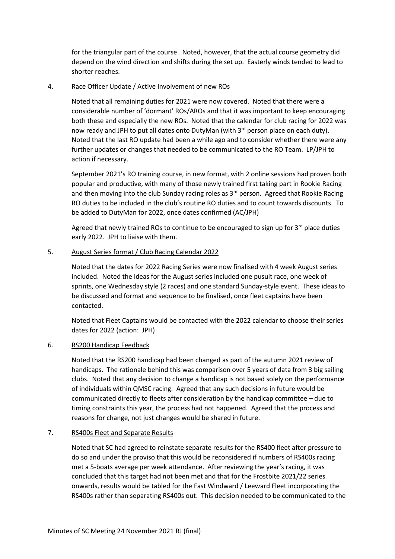for the triangular part of the course. Noted, however, that the actual course geometry did depend on the wind direction and shifts during the set up. Easterly winds tended to lead to shorter reaches.

## 4. Race Officer Update / Active Involvement of new ROs

Noted that all remaining duties for 2021 were now covered. Noted that there were a considerable number of 'dormant' ROs/AROs and that it was important to keep encouraging both these and especially the new ROs. Noted that the calendar for club racing for 2022 was now ready and JPH to put all dates onto DutyMan (with 3<sup>rd</sup> person place on each duty). Noted that the last RO update had been a while ago and to consider whether there were any further updates or changes that needed to be communicated to the RO Team. LP/JPH to action if necessary.

September 2021's RO training course, in new format, with 2 online sessions had proven both popular and productive, with many of those newly trained first taking part in Rookie Racing and then moving into the club Sunday racing roles as  $3<sup>rd</sup>$  person. Agreed that Rookie Racing RO duties to be included in the club's routine RO duties and to count towards discounts. To be added to DutyMan for 2022, once dates confirmed (AC/JPH)

Agreed that newly trained ROs to continue to be encouraged to sign up for  $3<sup>rd</sup>$  place duties early 2022. JPH to liaise with them.

## 5. August Series format / Club Racing Calendar 2022

Noted that the dates for 2022 Racing Series were now finalised with 4 week August series included. Noted the ideas for the August series included one pusuit race, one week of sprints, one Wednesday style (2 races) and one standard Sunday-style event. These ideas to be discussed and format and sequence to be finalised, once fleet captains have been contacted.

Noted that Fleet Captains would be contacted with the 2022 calendar to choose their series dates for 2022 (action: JPH)

### 6. RS200 Handicap Feedback

Noted that the RS200 handicap had been changed as part of the autumn 2021 review of handicaps. The rationale behind this was comparison over 5 years of data from 3 big sailing clubs. Noted that any decision to change a handicap is not based solely on the performance of individuals within QMSC racing. Agreed that any such decisions in future would be communicated directly to fleets after consideration by the handicap committee – due to timing constraints this year, the process had not happened. Agreed that the process and reasons for change, not just changes would be shared in future.

## 7. RS400s Fleet and Separate Results

Noted that SC had agreed to reinstate separate results for the RS400 fleet after pressure to do so and under the proviso that this would be reconsidered if numbers of RS400s racing met a 5-boats average per week attendance. After reviewing the year's racing, it was concluded that this target had not been met and that for the Frostbite 2021/22 series onwards, results would be tabled for the Fast Windward / Leeward Fleet incorporating the RS400s rather than separating RS400s out. This decision needed to be communicated to the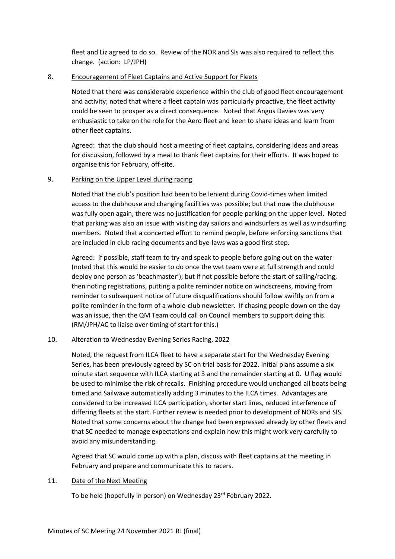fleet and Liz agreed to do so. Review of the NOR and SIs was also required to reflect this change. (action: LP/JPH)

### 8. Encouragement of Fleet Captains and Active Support for Fleets

Noted that there was considerable experience within the club of good fleet encouragement and activity; noted that where a fleet captain was particularly proactive, the fleet activity could be seen to prosper as a direct consequence. Noted that Angus Davies was very enthusiastic to take on the role for the Aero fleet and keen to share ideas and learn from other fleet captains.

Agreed: that the club should host a meeting of fleet captains, considering ideas and areas for discussion, followed by a meal to thank fleet captains for their efforts. It was hoped to organise this for February, off-site.

# 9. Parking on the Upper Level during racing

Noted that the club's position had been to be lenient during Covid-times when limited access to the clubhouse and changing facilities was possible; but that now the clubhouse was fully open again, there was no justification for people parking on the upper level. Noted that parking was also an issue with visiting day sailors and windsurfers as well as windsurfing members. Noted that a concerted effort to remind people, before enforcing sanctions that are included in club racing documents and bye-laws was a good first step.

Agreed: if possible, staff team to try and speak to people before going out on the water (noted that this would be easier to do once the wet team were at full strength and could deploy one person as 'beachmaster'); but if not possible before the start of sailing/racing, then noting registrations, putting a polite reminder notice on windscreens, moving from reminder to subsequent notice of future disqualifications should follow swiftly on from a polite reminder in the form of a whole-club newsletter. If chasing people down on the day was an issue, then the QM Team could call on Council members to support doing this. (RM/JPH/AC to liaise over timing of start for this.)

## 10. Alteration to Wednesday Evening Series Racing, 2022

Noted, the request from ILCA fleet to have a separate start for the Wednesday Evening Series, has been previously agreed by SC on trial basis for 2022. Initial plans assume a six minute start sequence with ILCA starting at 3 and the remainder starting at 0. U flag would be used to minimise the risk of recalls. Finishing procedure would unchanged all boats being timed and Sailwave automatically adding 3 minutes to the ILCA times. Advantages are considered to be increased ILCA participation, shorter start lines, reduced interference of differing fleets at the start. Further review is needed prior to development of NORs and SIS. Noted that some concerns about the change had been expressed already by other fleets and that SC needed to manage expectations and explain how this might work very carefully to avoid any misunderstanding.

Agreed that SC would come up with a plan, discuss with fleet captains at the meeting in February and prepare and communicate this to racers.

### 11. Date of the Next Meeting

To be held (hopefully in person) on Wednesday 23<sup>rd</sup> February 2022.